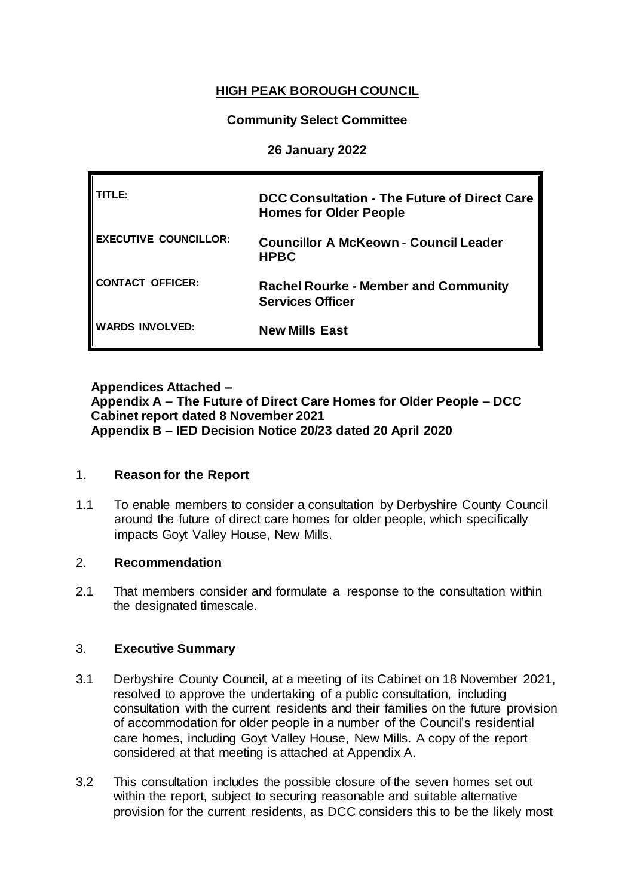# **HIGH PEAK BOROUGH COUNCIL**

## **Community Select Committee**

### **26 January 2022**

| TI F•                        | <b>DCC Consultation - The Future of Direct Care</b><br><b>Homes for Older People</b> |
|------------------------------|--------------------------------------------------------------------------------------|
| <b>EXECUTIVE COUNCILLOR:</b> | <b>Councillor A McKeown - Council Leader</b><br><b>HPBC</b>                          |
| <b>CONTACT OFFICER:</b>      | <b>Rachel Rourke - Member and Community</b><br><b>Services Officer</b>               |
| <b>WARDS INVOLVED:</b>       | <b>New Mills East</b>                                                                |

### **Appendices Attached – Appendix A – The Future of Direct Care Homes for Older People – DCC Cabinet report dated 8 November 2021 Appendix B – IED Decision Notice 20/23 dated 20 April 2020**

### 1. **Reason for the Report**

1.1 To enable members to consider a consultation by Derbyshire County Council around the future of direct care homes for older people, which specifically impacts Goyt Valley House, New Mills.

#### 2. **Recommendation**

2.1 That members consider and formulate a response to the consultation within the designated timescale.

### 3. **Executive Summary**

- 3.1 Derbyshire County Council, at a meeting of its Cabinet on 18 November 2021, resolved to approve the undertaking of a public consultation, including consultation with the current residents and their families on the future provision of accommodation for older people in a number of the Council's residential care homes, including Goyt Valley House, New Mills. A copy of the report considered at that meeting is attached at Appendix A.
- 3.2 This consultation includes the possible closure of the seven homes set out within the report, subject to securing reasonable and suitable alternative provision for the current residents, as DCC considers this to be the likely most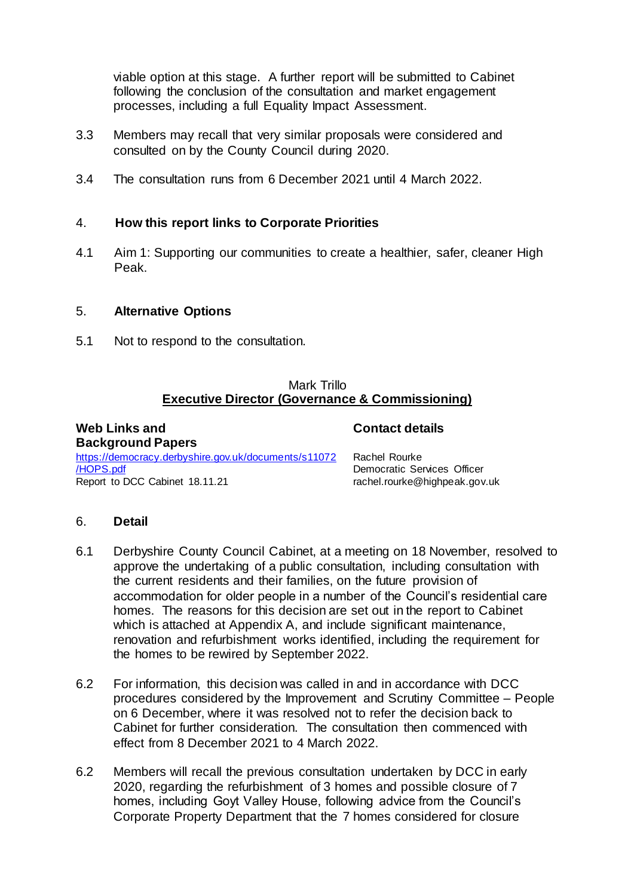viable option at this stage. A further report will be submitted to Cabinet following the conclusion of the consultation and market engagement processes, including a full Equality Impact Assessment.

- 3.3 Members may recall that very similar proposals were considered and consulted on by the County Council during 2020.
- 3.4 The consultation runs from 6 December 2021 until 4 March 2022.

#### 4. **How this report links to Corporate Priorities**

4.1 Aim 1: Supporting our communities to create a healthier, safer, cleaner High Peak.

#### 5. **Alternative Options**

5.1 Not to respond to the consultation.

#### Mark Trillo **Executive Director (Governance & Commissioning)**

**Web Links and Background Papers** [https://democracy.derbyshire.gov.uk/documents/s11072](https://democracy.derbyshire.gov.uk/documents/s11072/HOPS.pdf) [/HOPS.pdf](https://democracy.derbyshire.gov.uk/documents/s11072/HOPS.pdf) Report to DCC Cabinet 18.11.21

Rachel Rourke Democratic Services Officer rachel.rourke@highpeak.gov.uk

**Contact details**

#### 6. **Detail**

- 6.1 Derbyshire County Council Cabinet, at a meeting on 18 November, resolved to approve the undertaking of a public consultation, including consultation with the current residents and their families, on the future provision of accommodation for older people in a number of the Council's residential care homes. The reasons for this decision are set out in the report to Cabinet which is attached at Appendix A, and include significant maintenance, renovation and refurbishment works identified, including the requirement for the homes to be rewired by September 2022.
- 6.2 For information, this decision was called in and in accordance with DCC procedures considered by the Improvement and Scrutiny Committee – People on 6 December, where it was resolved not to refer the decision back to Cabinet for further consideration. The consultation then commenced with effect from 8 December 2021 to 4 March 2022.
- 6.2 Members will recall the previous consultation undertaken by DCC in early 2020, regarding the refurbishment of 3 homes and possible closure of 7 homes, including Goyt Valley House, following advice from the Council's Corporate Property Department that the 7 homes considered for closure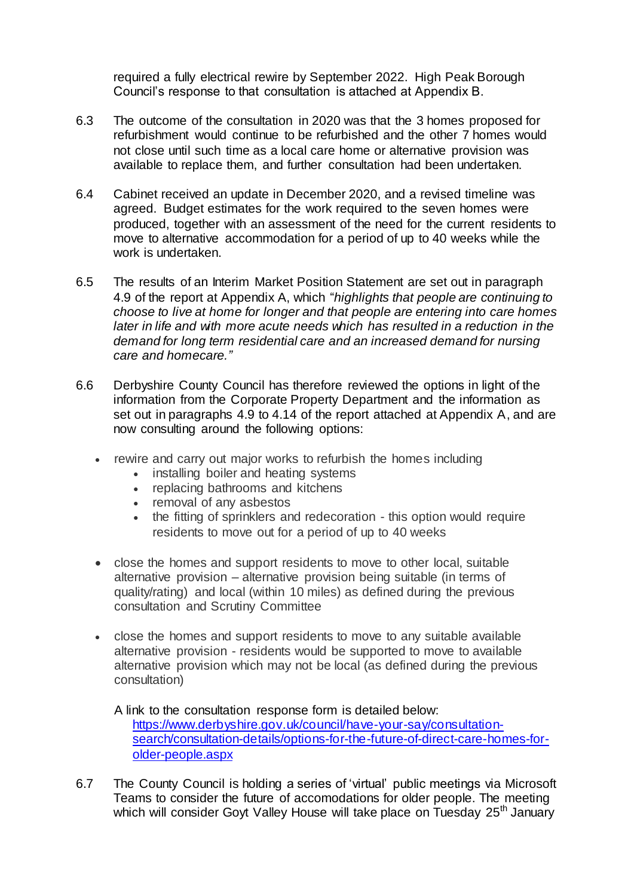required a fully electrical rewire by September 2022. High Peak Borough Council's response to that consultation is attached at Appendix B.

- 6.3 The outcome of the consultation in 2020 was that the 3 homes proposed for refurbishment would continue to be refurbished and the other 7 homes would not close until such time as a local care home or alternative provision was available to replace them, and further consultation had been undertaken.
- 6.4 Cabinet received an update in December 2020, and a revised timeline was agreed. Budget estimates for the work required to the seven homes were produced, together with an assessment of the need for the current residents to move to alternative accommodation for a period of up to 40 weeks while the work is undertaken.
- 6.5 The results of an Interim Market Position Statement are set out in paragraph 4.9 of the report at Appendix A, which "*highlights that people are continuing to choose to live at home for longer and that people are entering into care homes later in life and with more acute needs which has resulted in a reduction in the demand for long term residential care and an increased demand for nursing care and homecare."*
- 6.6 Derbyshire County Council has therefore reviewed the options in light of the information from the Corporate Property Department and the information as set out in paragraphs 4.9 to 4.14 of the report attached at Appendix A, and are now consulting around the following options:
	- rewire and carry out major works to refurbish the homes including
		- installing boiler and heating systems
		- replacing bathrooms and kitchens
		- removal of any asbestos
		- the fitting of sprinklers and redecoration this option would require residents to move out for a period of up to 40 weeks
	- close the homes and support residents to move to other local, suitable alternative provision – alternative provision being suitable (in terms of quality/rating) and local (within 10 miles) as defined during the previous consultation and Scrutiny Committee
	- close the homes and support residents to move to any suitable available alternative provision - residents would be supported to move to available alternative provision which may not be local (as defined during the previous consultation)

A link to the consultation response form is detailed below: [https://www.derbyshire.gov.uk/council/have-your-say/consultation](https://www.derbyshire.gov.uk/council/have-your-say/consultation-search/consultation-details/options-for-the-future-of-direct-care-homes-for-older-people.aspx)[search/consultation-details/options-for-the-future-of-direct-care-homes-for](https://www.derbyshire.gov.uk/council/have-your-say/consultation-search/consultation-details/options-for-the-future-of-direct-care-homes-for-older-people.aspx)[older-people.aspx](https://www.derbyshire.gov.uk/council/have-your-say/consultation-search/consultation-details/options-for-the-future-of-direct-care-homes-for-older-people.aspx)

6.7 The County Council is holding a series of 'virtual' public meetings via Microsoft Teams to consider the future of accomodations for older people. The meeting which will consider Goyt Valley House will take place on Tuesday 25<sup>th</sup> January